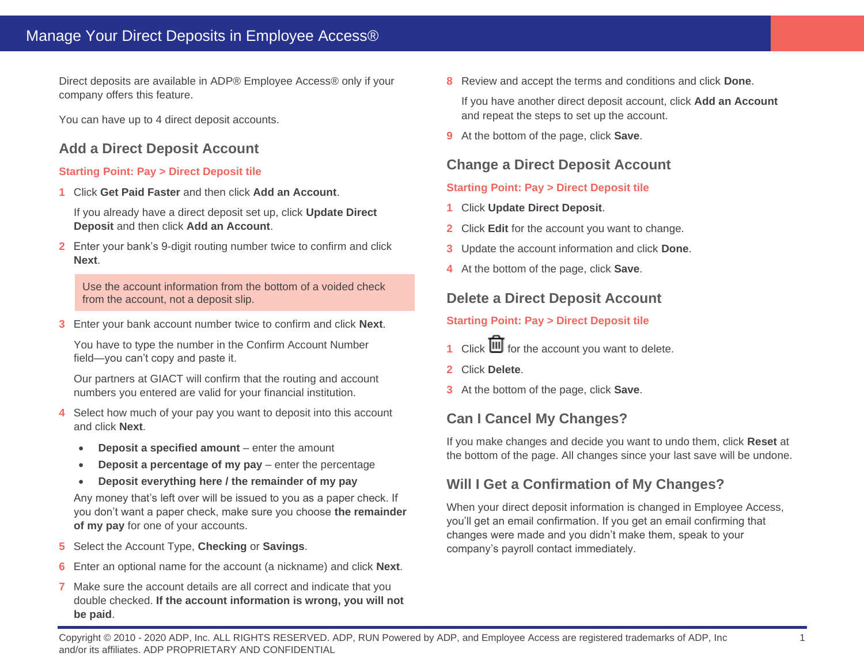Direct deposits are available in ADP® Employee Access® only if your company offers this feature.

You can have up to 4 direct deposit accounts.

# **Add a Direct Deposit Account**

#### **Starting Point: Pay > Direct Deposit tile**

**1** Click **Get Paid Faster** and then click **Add an Account**.

If you already have a direct deposit set up, click **Update Direct Deposit** and then click **Add an Account**.

**2** Enter your bank's 9-digit routing number twice to confirm and click **Next**.

Use the account information from the bottom of a voided check from the account, not a deposit slip.

**3** Enter your bank account number twice to confirm and click **Next**.

You have to type the number in the Confirm Account Number field—you can't copy and paste it.

Our partners at GIACT will confirm that the routing and account numbers you entered are valid for your financial institution.

- **4** Select how much of your pay you want to deposit into this account and click **Next**.
	- **Deposit a specified amount** enter the amount
	- **Deposit a percentage of my pay** enter the percentage
	- **Deposit everything here / the remainder of my pay**

Any money that's left over will be issued to you as a paper check. If you don't want a paper check, make sure you choose **the remainder of my pay** for one of your accounts.

- **5** Select the Account Type, **Checking** or **Savings**.
- **6** Enter an optional name for the account (a nickname) and click **Next**.
- **7** Make sure the account details are all correct and indicate that you double checked. **If the account information is wrong, you will not be paid**.

**8** Review and accept the terms and conditions and click **Done**.

If you have another direct deposit account, click **Add an Account** and repeat the steps to set up the account.

**9** At the bottom of the page, click **Save**.

# **Change a Direct Deposit Account**

#### **Starting Point: Pay > Direct Deposit tile**

- **1** Click **Update Direct Deposit**.
- **2** Click **Edit** for the account you want to change.
- **3** Update the account information and click **Done**.
- **4** At the bottom of the page, click **Save**.

# **Delete a Direct Deposit Account**

#### **Starting Point: Pay > Direct Deposit tile**

- 1 Click  $\overline{\mathbf{III}}$  for the account you want to delete.
- **2** Click **Delete**.
- **3** At the bottom of the page, click **Save**.

# **Can I Cancel My Changes?**

If you make changes and decide you want to undo them, click **Reset** at the bottom of the page. All changes since your last save will be undone.

# **Will I Get a Confirmation of My Changes?**

When your direct deposit information is changed in Employee Access, you'll get an email confirmation. If you get an email confirming that changes were made and you didn't make them, speak to your company's payroll contact immediately.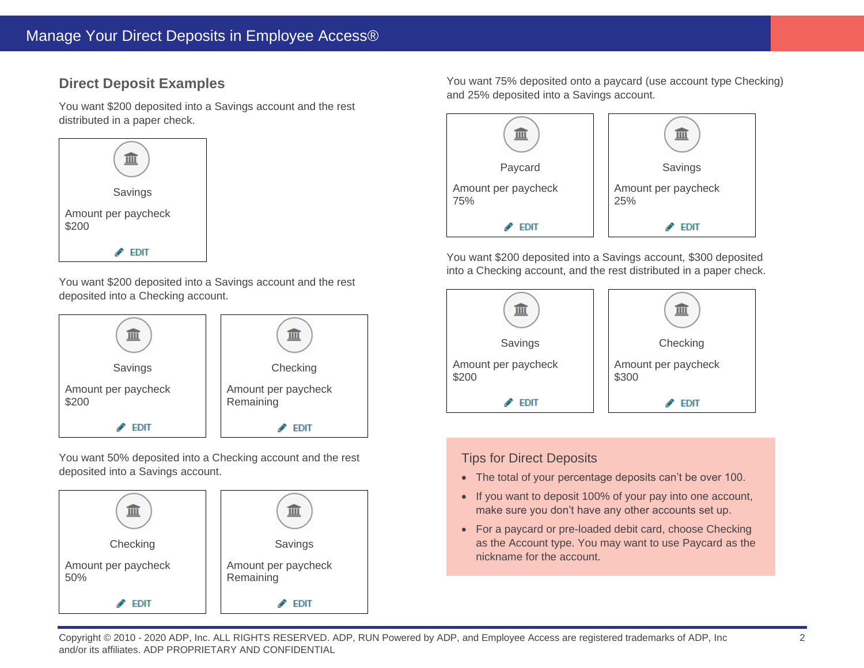# **Direct Deposit Examples**

You want \$200 deposited into a Savings account and the rest distributed in a paper check.



You want \$200 deposited into a Savings account and the rest deposited into a Checking account.



You want 50% deposited into a Checking account and the rest deposited into a Savings account.



You want 75% deposited onto a paycard (use account type Checking) and 25% deposited into a Savings account.



You want \$200 deposited into a Savings account, \$300 deposited into a Checking account, and the rest distributed in a paper check.



#### Tips for Direct Deposits

- The total of your percentage deposits can't be over 100.
- If you want to deposit 100% of your pay into one account, make sure you don't have any other accounts set up.
- For a paycard or pre-loaded debit card, choose Checking as the Account type. You may want to use Paycard as the nickname for the account.